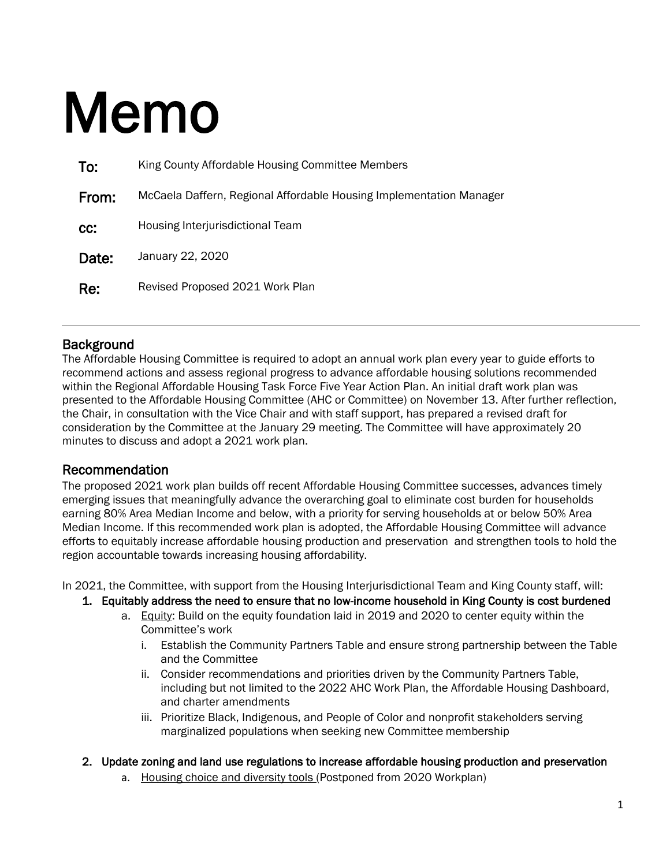# Memo

| To:   | King County Affordable Housing Committee Members                    |  |  |
|-------|---------------------------------------------------------------------|--|--|
| From: | McCaela Daffern, Regional Affordable Housing Implementation Manager |  |  |
| cc:   | Housing Interjurisdictional Team                                    |  |  |
| Date: | January 22, 2020                                                    |  |  |
| Re:   | Revised Proposed 2021 Work Plan                                     |  |  |

**Background**<br>The Affordable Housing Committee is required to adopt an annual work plan every year to guide efforts to recommend actions and assess regional progress to advance affordable housing solutions recommended within the Regional Affordable Housing Task Force Five Year Action Plan. An initial draft work plan was presented to the Affordable Housing Committee (AHC or Committee) on November 13. After further reflection, the Chair, in consultation with the Vice Chair and with staff support, has prepared a revised draft for consideration by the Committee at the January 29 meeting. The Committee will have approximately 20 minutes to discuss and adopt a 2021 work plan.

## Recommendation

The proposed 2021 work plan builds off recent Affordable Housing Committee successes, advances timely emerging issues that meaningfully advance the overarching goal to eliminate cost burden for households earning 80% Area Median Income and below, with a priority for serving households at or below 50% Area Median Income. If this recommended work plan is adopted, the Affordable Housing Committee will advance efforts to equitably increase affordable housing production and preservation and strengthen tools to hold the region accountable towards increasing housing affordability.

In 2021, the Committee, with support from the Housing Interjurisdictional Team and King County staff, will:

- 1. Equitably address the need to ensure that no low-income household in King County is cost burdened
	- a. Equity: Build on the equity foundation laid in 2019 and 2020 to center equity within the Committee's work
		- i. Establish the Community Partners Table and ensure strong partnership between the Table and the Committee
		- ii. Consider recommendations and priorities driven by the Community Partners Table, including but not limited to the 2022 AHC Work Plan, the Affordable Housing Dashboard, and charter amendments
		- iii. Prioritize Black, Indigenous, and People of Color and nonprofit stakeholders serving marginalized populations when seeking new Committee membership

#### 2. Update zoning and land use regulations to increase affordable housing production and preservation

a. Housing choice and diversity tools (Postponed from 2020 Workplan)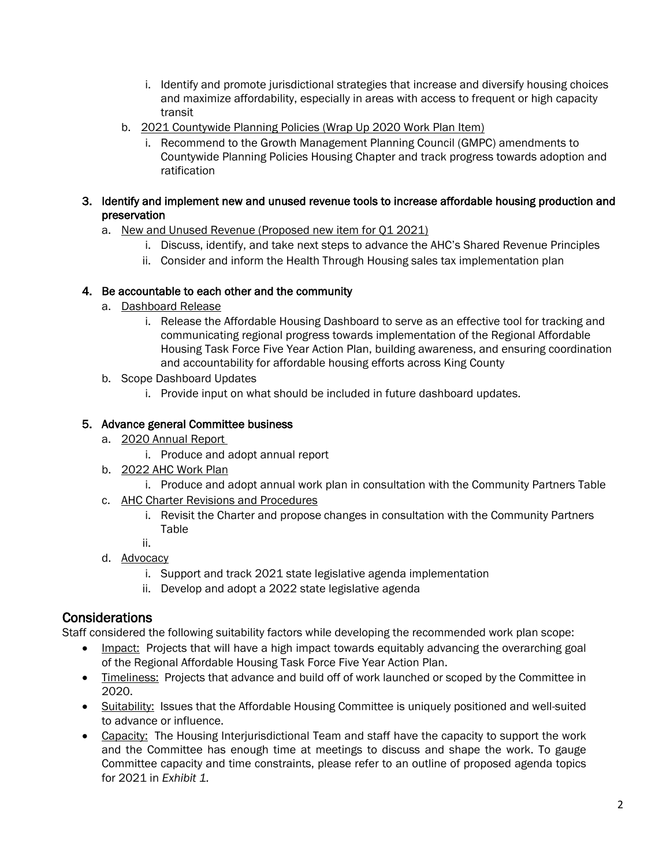- i. Identify and promote jurisdictional strategies that increase and diversify housing choices and maximize affordability, especially in areas with access to frequent or high capacity transit
- b. 2021 Countywide Planning Policies (Wrap Up 2020 Work Plan Item)
	- i. Recommend to the Growth Management Planning Council (GMPC) amendments to Countywide Planning Policies Housing Chapter and track progress towards adoption and ratification

#### 3. Identify and implement new and unused revenue tools to increase affordable housing production and preservation

- a. New and Unused Revenue (Proposed new item for Q1 2021)
	- i. Discuss, identify, and take next steps to advance the AHC's Shared Revenue Principles
	- ii. Consider and inform the Health Through Housing sales tax implementation plan

## 4. Be accountable to each other and the community

- a. Dashboard Release
	- i. Release the Affordable Housing Dashboard to serve as an effective tool for tracking and communicating regional progress towards implementation of the Regional Affordable Housing Task Force Five Year Action Plan, building awareness, and ensuring coordination and accountability for affordable housing efforts across King County
- b. Scope Dashboard Updates
	- i. Provide input on what should be included in future dashboard updates.

## 5. Advance general Committee business

- a. 2020 Annual Report
	- i. Produce and adopt annual report
- b. 2022 AHC Work Plan
	- i. Produce and adopt annual work plan in consultation with the Community Partners Table
- c. AHC Charter Revisions and Procedures
	- i. Revisit the Charter and propose changes in consultation with the Community Partners Table
	- ii.
- d. Advocacy
	- i. Support and track 2021 state legislative agenda implementation
	- ii. Develop and adopt a 2022 state legislative agenda

**Considerations**<br>Staff considered the following suitability factors while developing the recommended work plan scope:

- Impact: Projects that will have a high impact towards equitably advancing the overarching goal of the Regional Affordable Housing Task Force Five Year Action Plan.
- Timeliness: Projects that advance and build off of work launched or scoped by the Committee in 2020.
- Suitability: Issues that the Affordable Housing Committee is uniquely positioned and well-suited to advance or influence.
- Capacity: The Housing Interjurisdictional Team and staff have the capacity to support the work and the Committee has enough time at meetings to discuss and shape the work. To gauge Committee capacity and time constraints, please refer to an outline of proposed agenda topics for 2021 in *Exhibit 1.*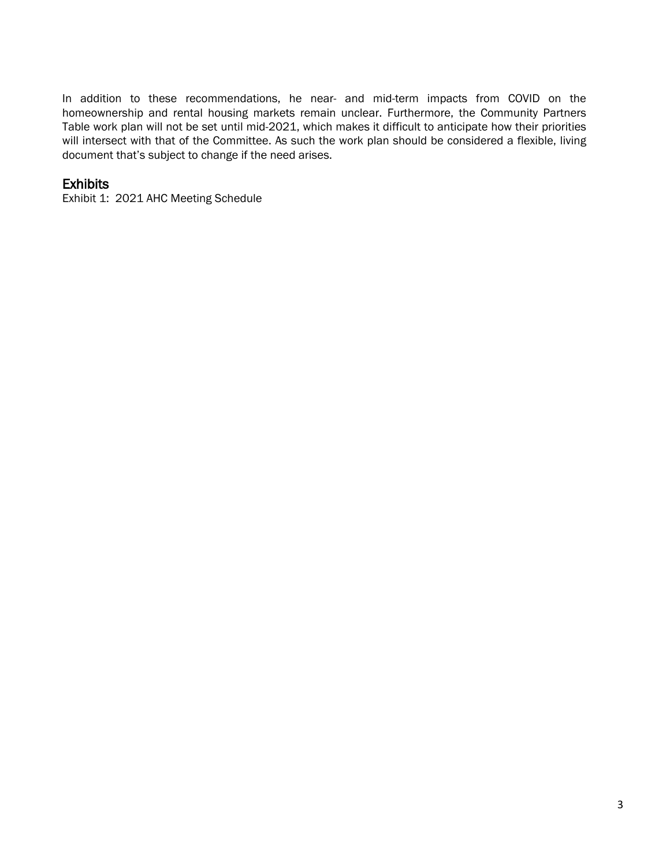In addition to these recommendations, he near- and mid-term impacts from COVID on the homeownership and rental housing markets remain unclear. Furthermore, the Community Partners Table work plan will not be set until mid-2021, which makes it difficult to anticipate how their priorities will intersect with that of the Committee. As such the work plan should be considered a flexible, living document that's subject to change if the need arises.

Exhibits<br>Exhibit 1: 2021 AHC Meeting Schedule